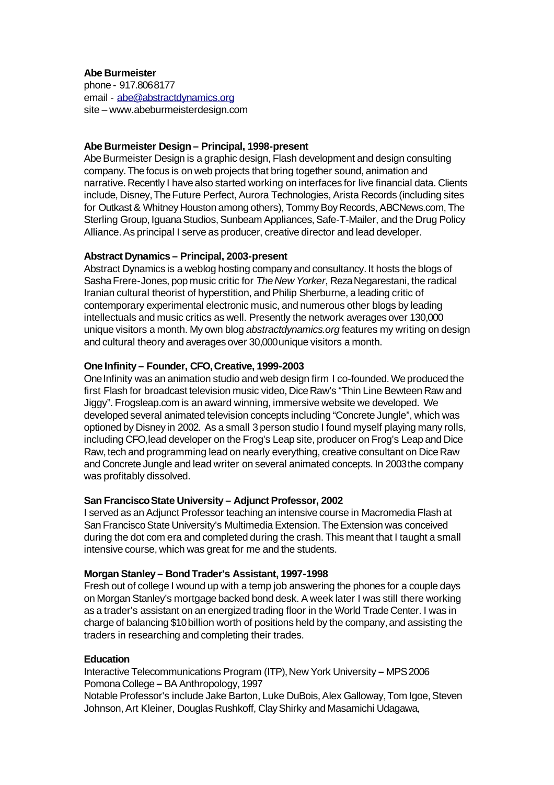### **Abe Burmeister**

phone - 917.8068177 email - abe@abstractdynamics.org site – www.abeburmeisterdesign.com

### **Abe Burmeister Design – Principal, 1998-present**

Abe Burmeister Design is a graphic design, Flash development and design consulting company.Thefocus is on web projects that bring together sound, animation and narrative. Recently I have also started working on interfaces for live financial data. Clients include, Disney, The Future Perfect, Aurora Technologies, Arista Records (including sites for Outkast & Whitney Houston among others), Tommy BoyRecords, ABCNews.com, The Sterling Group, IguanaStudios, Sunbeam Appliances,Safe-T-Mailer, and the Drug Policy Alliance.As principal I serve as producer, creative director and lead developer.

### **Abstract Dynamics – Principal, 2003-present**

Abstract Dynamics is a weblog hosting company and consultancy. It hosts the blogs of Sasha Frere-Jones, pop music critic for The New Yorker, Reza Negarestani, the radical Iranian cultural theorist of hyperstition, and Philip Sherburne, a leading critic of contemporary experimental electronic music, and numerous other blogs by leading intellectuals and music critics as well. Presently the network averages over 130,000 unique visitors a month. My own blog abstractdynamics.org features my writing on design and cultural theory and averages over 30,000unique visitors a month.

## **One Infinity – Founder, CFO,Creative, 1999-2003**

OneInfinity was an animation studio and web design firm I co-founded.Weproduced the first Flash for broadcast television music video, DiceRaw's "Thin Line Bewteen Raw and Jiggy". Frogsleap.com is an award winning, immersive website we developed. We developed several animated television concepts including "Concrete Jungle", which was optioned by Disney in 2002. As a small 3 person studio I found myself playing many rolls, including CFO,lead developer on the Frog's Leap site, producer on Frog's Leap and Dice Raw, tech and programming lead on nearly everything, creative consultant on DiceRaw and Concrete Jungle and lead writer on several animated concepts. In 2003the company was profitably dissolved.

## **San FranciscoState University – AdjunctProfessor, 2002**

I served as an Adjunct Professor teaching an intensive course in Macromedia Flash at San Francisco State University's Multimedia Extension. The Extension was conceived during the dot com era and completed during the crash. This meant that I taught a small intensive course, which was great for me and the students.

## **Morgan Stanley – BondTrader's Assistant, 1997-1998**

Fresh out of college I wound up with a temp job answering the phones for a couple days on Morgan Stanley's mortgage backed bond desk. A week later I was still there working as a trader's assistant on an energized trading floor in the World TradeCenter. I was in charge of balancing \$10billion worth of positions held by the company, and assisting the traders in researching and completing their trades.

#### **Education**

Interactive Telecommunications Program (ITP), New York University - MPS 2006 PomonaCollege **–** BAAnthropology, 1997

Notable Professor's include Jake Barton, Luke DuBois,Alex Galloway,Tom Igoe,Steven Johnson, Art Kleiner, Douglas Rushkoff, Clay Shirky and Masamichi Udagawa,